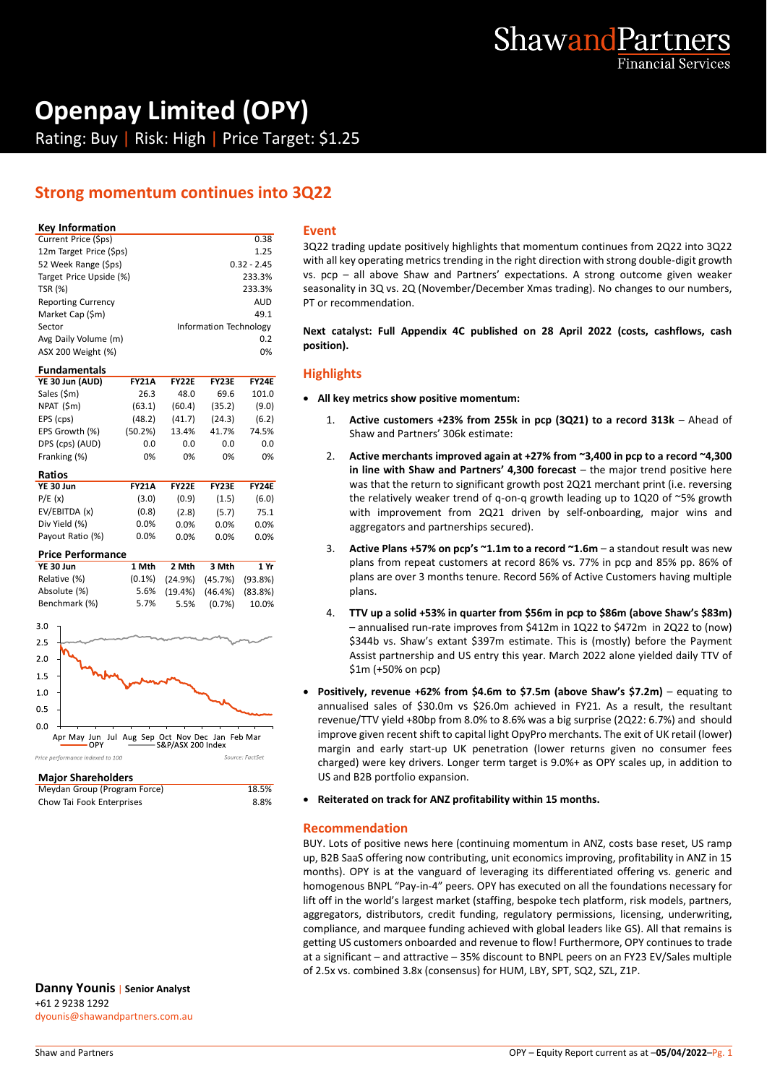

# **Openpay Limited (OPY)**

Rating: Buy | Risk: High | Price Target: \$1.25

## **Strong momentum continues into 3Q22**

## **Key Information**

| Current Price (\$ps)      | 0.38                   | 3 |
|---------------------------|------------------------|---|
| 12m Target Price (\$ps)   | 1.25                   |   |
| 52 Week Range (\$ps)      | $0.32 - 2.45$          | ٧ |
| Target Price Upside (%)   | 233.3%                 | ٧ |
| <b>TSR (%)</b>            | 233.3%                 | S |
| <b>Reporting Currency</b> | <b>AUD</b>             | P |
| Market Cap (\$m)          | 49.1                   |   |
| Sector                    | Information Technology | N |
| Avg Daily Volume (m)      | 0.2                    |   |
| ASX 200 Weight (%)        | 0%                     | p |
|                           |                        |   |

## **Fundamentals**

| YE 30 Jun (AUD) | <b>FY21A</b> | <b>FY22E</b> | <b>FY23E</b> | <b>FY24E</b> |
|-----------------|--------------|--------------|--------------|--------------|
| Sales (\$m)     | 26.3         | 48.0         | 69.6         | 101.0        |
| NPAT (\$m)      | (63.1)       | (60.4)       | (35.2)       | (9.0)        |
| EPS (cps)       | (48.2)       | (41.7)       | (24.3)       | (6.2)        |
| EPS Growth (%)  | (50.2%)      | 13.4%        | 41.7%        | 74.5%        |
| DPS (cps) (AUD) | 0.0          | 0.0          | 0.0          | 0.0          |
| Franking (%)    | 0%           | 0%           | 0%           | 0%           |
|                 |              |              |              |              |

| Ratios           |              |              |              |              |
|------------------|--------------|--------------|--------------|--------------|
| YE 30 Jun        | <b>FY21A</b> | <b>FY22F</b> | <b>FY23F</b> | <b>FY24F</b> |
| P/E(x)           | (3.0)        | (0.9)        | (1.5)        | (6.0)        |
| EV/EBITDA (x)    | (0.8)        | (2.8)        | (5.7)        | 75.1         |
| Div Yield (%)    | $0.0\%$      | $0.0\%$      | $0.0\%$      | 0.0%         |
| Payout Ratio (%) | 0.0%         | 0.0%         | 0.0%         | 0.0%         |

## **Price Performance**

| YE 30 Jun     | 1 Mth | 2 Mth 3 Mth                                | 1 Yr |
|---------------|-------|--------------------------------------------|------|
| Relative (%)  |       | $(0.1\%)$ $(24.9\%)$ $(45.7\%)$ $(93.8\%)$ |      |
| Absolute (%)  |       | 5.6% (19.4%) (46.4%) (83.8%)               |      |
| Benchmark (%) | 5.7%  | 5.5% (0.7%) 10.0%                          |      |



#### **Major Shareholders**

| Meydan Group (Program Force) | 18.5% |  |
|------------------------------|-------|--|
| Chow Tai Fook Enterprises    | 8.8%  |  |

**Danny Younis** | **Senior Analyst** +61 2 9238 1292 dyounis@shawandpartners.com.au

## **Event**

3Q22 trading update positively highlights that momentum continues from 2Q22 into 3Q22 with all key operating metrics trending in the right direction with strong double-digit growth vs. pcp – all above Shaw and Partners' expectations. A strong outcome given weaker seasonality in 3Q vs. 2Q (November/December Xmas trading). No changes to our numbers, PT or recommendation.

**Next catalyst: Full Appendix 4C published on 28 April 2022 (costs, cashflows, cash position).**

## **Highlights**

- **All key metrics show positive momentum:**
	- 1. **Active customers +23% from 255k in pcp (3Q21) to a record 313k** Ahead of Shaw and Partners' 306k estimate:
	- 2. **Active merchants improved again at +27% from ~3,400 in pcp to a record ~4,300 in line with Shaw and Partners' 4,300 forecast** – the major trend positive here was that the return to significant growth post 2Q21 merchant print (i.e. reversing the relatively weaker trend of q-on-q growth leading up to 1Q20 of ~5% growth with improvement from 2Q21 driven by self-onboarding, major wins and aggregators and partnerships secured).
	- 3. **Active Plans +57% on pcp's ~1.1m to a record ~1.6m** a standout result was new plans from repeat customers at record 86% vs. 77% in pcp and 85% pp. 86% of plans are over 3 months tenure. Record 56% of Active Customers having multiple plans.
	- 4. **TTV up a solid +53% in quarter from \$56m in pcp to \$86m (above Shaw's \$83m)** – annualised run-rate improves from \$412m in 1Q22 to \$472m in 2Q22 to (now) \$344b vs. Shaw's extant \$397m estimate. This is (mostly) before the Payment Assist partnership and US entry this year. March 2022 alone yielded daily TTV of \$1m (+50% on pcp)
- **Positively, revenue +62% from \$4.6m to \$7.5m (above Shaw's \$7.2m)** equating to annualised sales of \$30.0m vs \$26.0m achieved in FY21. As a result, the resultant revenue/TTV yield +80bp from 8.0% to 8.6% was a big surprise (2Q22: 6.7%) and should improve given recent shift to capital light OpyPro merchants. The exit of UK retail (lower) margin and early start-up UK penetration (lower returns given no consumer fees charged) were key drivers. Longer term target is 9.0%+ as OPY scales up, in addition to US and B2B portfolio expansion.
- **Reiterated on track for ANZ profitability within 15 months.**

## **Recommendation**

BUY. Lots of positive news here (continuing momentum in ANZ, costs base reset, US ramp up, B2B SaaS offering now contributing, unit economics improving, profitability in ANZ in 15 months). OPY is at the vanguard of leveraging its differentiated offering vs. generic and homogenous BNPL "Pay-in-4" peers. OPY has executed on all the foundations necessary for lift off in the world's largest market (staffing, bespoke tech platform, risk models, partners, aggregators, distributors, credit funding, regulatory permissions, licensing, underwriting, compliance, and marquee funding achieved with global leaders like GS). All that remains is getting US customers onboarded and revenue to flow! Furthermore, OPY continues to trade at a significant – and attractive – 35% discount to BNPL peers on an FY23 EV/Sales multiple of 2.5x vs. combined 3.8x (consensus) for HUM, LBY, SPT, SQ2, SZL, Z1P.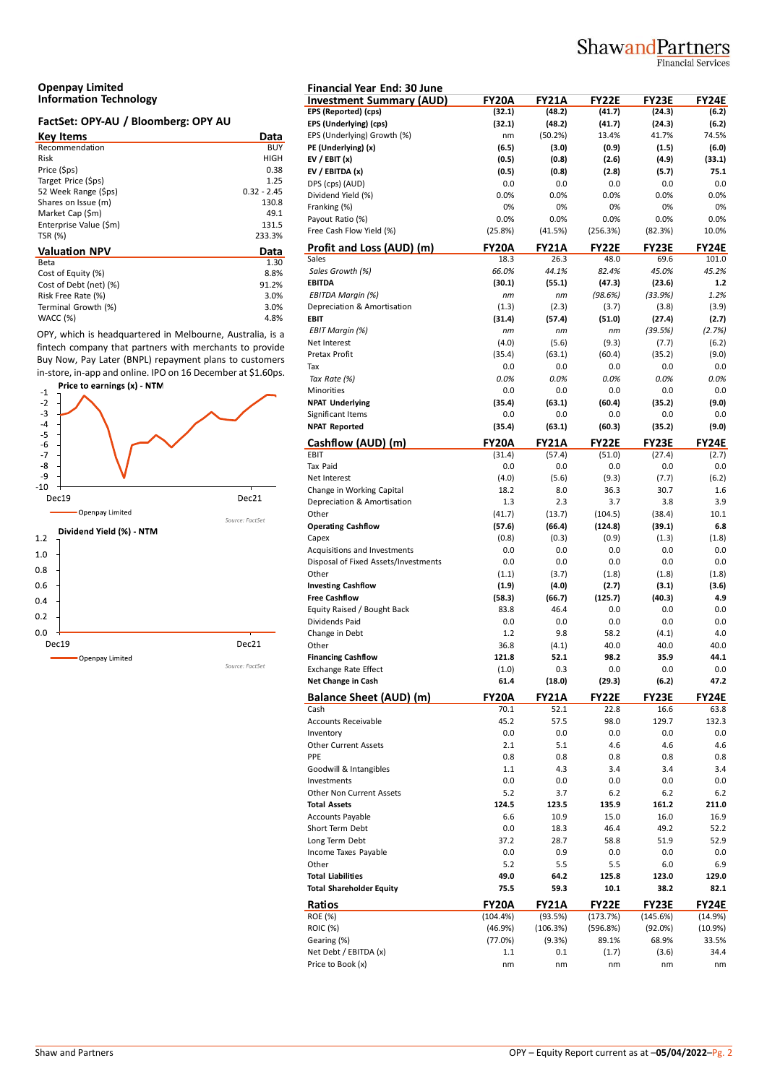## ShawandPartners

Financial Services

#### **Openpay Limited Information Technology**

## **FactSet: OPY-AU / Bloomberg: OPY AU**

| <b>Key Items</b>       | Data          | EP. |
|------------------------|---------------|-----|
| Recommendation         | <b>BUY</b>    | PE  |
| Risk                   | HIGH          | EV  |
| Price (\$ps)           | 0.38          | EV  |
| Target Price (\$ps)    | 1.25          | DP  |
| 52 Week Range (\$ps)   | $0.32 - 2.45$ | Di  |
| Shares on Issue (m)    | 130.8         | Fra |
| Market Cap (\$m)       | 49.1          | Pa  |
| Enterprise Value (\$m) | 131.5         |     |
| TSR (%)                | 233.3%        | Fre |
| <b>Valuation NPV</b>   | Data          | Pr  |
| Beta                   | 1.30          | Sal |
| Cost of Equity (%)     | 8.8%          | Sc  |
| Cost of Debt (net) (%) | 91.2%         | EВ  |
| Risk Free Rate (%)     | 3.0%          | EE  |
| Terminal Growth (%)    | 3.0%          | De  |
| WACC (%)               | 4.8%          | EB  |

OPY, which is headquartered in Melbourne, Australia, is a fintech company that partners with merchants to provide Buy Now, Pay Later (BNPL) repayment plans to customers in-store, in-app and online. IPO on 16 December at \$1.60ps.



| <b>Financial Year End: 30 June</b>                |               |               |               |               |             |
|---------------------------------------------------|---------------|---------------|---------------|---------------|-------------|
| <b>Investment Summary (AUD)</b>                   | <b>FY20A</b>  | <b>FY21A</b>  | <b>FY22E</b>  | <b>FY23E</b>  | FY24E       |
| EPS (Reported) (cps)                              | (32.1)        | (48.2)        | (41.7)        | (24.3)        | (6.2)       |
| EPS (Underlying) (cps)                            | (32.1)        | (48.2)        | (41.7)        | (24.3)        | (6.2)       |
| EPS (Underlying) Growth (%)                       | nm            | (50.2%)       | 13.4%         | 41.7%         | 74.5%       |
| PE (Underlying) (x)                               | (6.5)         | (3.0)         | (0.9)         | (1.5)         | (6.0)       |
| EV / EBIT $(x)$                                   | (0.5)         | (0.8)         | (2.6)         | (4.9)         | (33.1)      |
| EV / EBITDA (x)                                   | (0.5)         | (0.8)         | (2.8)         | (5.7)         | 75.1        |
| DPS (cps) (AUD)                                   | 0.0           | 0.0           | 0.0           | 0.0           | 0.0         |
| Dividend Yield (%)                                | 0.0%          | 0.0%          | 0.0%          | 0.0%          | 0.0%        |
| Franking (%)                                      | 0%            | 0%            | 0%            | 0%            | 0%          |
| Payout Ratio (%)                                  | 0.0%          | 0.0%          | 0.0%          | 0.0%          | 0.0%        |
| Free Cash Flow Yield (%)                          | (25.8%)       | (41.5%)       | (256.3%)      | (82.3%)       | 10.0%       |
| Profit and Loss (AUD) (m)                         | <b>FY20A</b>  | <b>FY21A</b>  | <b>FY22E</b>  | <b>FY23E</b>  | FY24E       |
| Sales                                             | 18.3          | 26.3          | 48.0          | 69.6          | 101.0       |
| Sales Growth (%)                                  | 66.0%         | 44.1%         | 82.4%         | 45.0%         | 45.2%       |
| <b>EBITDA</b>                                     | (30.1)        | (55.1)        | (47.3)        | (23.6)        | $1.2$       |
| <b>EBITDA Margin (%)</b>                          | nm            | пm            | (98.6%)       | (33.9%)       | 1.2%        |
| Depreciation & Amortisation                       | (1.3)         | (2.3)         | (3.7)         | (3.8)         | (3.9)       |
| <b>EBIT</b>                                       | (31.4)        | (57.4)        | (51.0)        | (27.4)        | (2.7)       |
| <b>EBIT Margin (%)</b>                            | nm            | nm            | nm            | (39.5%)       | (2.7%)      |
| Net Interest                                      | (4.0)         | (5.6)         | (9.3)         | (7.7)         | (6.2)       |
| Pretax Profit                                     | (35.4)        | (63.1)        | (60.4)        | (35.2)        | (9.0)       |
| Tax                                               | 0.0           | 0.0           | 0.0           | 0.0           | 0.0         |
| Tax Rate (%)<br>Minorities                        | 0.0%          | 0.0%          | 0.0%          | 0.0%          | 0.0%        |
|                                                   | 0.0           | 0.0           | 0.0           | 0.0           | 0.0         |
| <b>NPAT Underlying</b>                            | (35.4)        | (63.1)        | (60.4)        | (35.2)        | (9.0)       |
| Significant Items<br><b>NPAT Reported</b>         | 0.0<br>(35.4) | 0.0           | 0.0<br>(60.3) | 0.0<br>(35.2) | 0.0         |
|                                                   |               | (63.1)        |               |               | (9.0)       |
| Cashflow (AUD) (m)                                | <b>FY20A</b>  | <b>FY21A</b>  | <b>FY22E</b>  | <b>FY23E</b>  | FY24E       |
| EBIT                                              | (31.4)        | (57.4)        | (51.0)        | (27.4)        | (2.7)       |
| Tax Paid                                          | 0.0           | 0.0           | 0.0           | 0.0           | 0.0         |
| Net Interest                                      | (4.0)         | (5.6)         | (9.3)         | (7.7)         | (6.2)       |
| Change in Working Capital                         | 18.2          | 8.0           | 36.3          | 30.7          | 1.6         |
| Depreciation & Amortisation                       | 1.3           | 2.3           | 3.7           | 3.8           | 3.9         |
| Other                                             | (41.7)        | (13.7)        | (104.5)       | (38.4)        | 10.1        |
| <b>Operating Cashflow</b>                         | (57.6)        | (66.4)        | (124.8)       | (39.1)        | 6.8         |
| Capex                                             | (0.8)         | (0.3)         | (0.9)         | (1.3)         | (1.8)       |
| Acquisitions and Investments                      | 0.0           | 0.0           | 0.0           | 0.0           | 0.0         |
| Disposal of Fixed Assets/Investments              | 0.0           | 0.0           | 0.0           | 0.0           | 0.0         |
| Other                                             | (1.1)         | (3.7)         | (1.8)         | (1.8)         | (1.8)       |
| <b>Investing Cashflow</b>                         | (1.9)         | (4.0)         | (2.7)         | (3.1)         | (3.6)       |
| <b>Free Cashflow</b>                              | (58.3)        | (66.7)        | (125.7)       | (40.3)        | 4.9         |
| Equity Raised / Bought Back                       | 83.8          | 46.4          | 0.0           | 0.0           | 0.0         |
| Dividends Paid                                    | 0.0           | 0.0           | 0.0           | 0.0           | 0.0         |
| Change in Debt                                    | 1.2           | 9.8           | 58.2<br>40.0  | (4.1)         | 4.0<br>40.0 |
| Other                                             | 36.8<br>121.8 | (4.1)<br>52.1 | 98.2          | 40.0<br>35.9  |             |
| <b>Financing Cashflow</b>                         |               |               |               |               | 44.1        |
| <b>Exchange Rate Effect</b><br>Net Change in Cash | (1.0)<br>61.4 | 0.3<br>(18.0) | 0.0<br>(29.3) | 0.0<br>(6.2)  | 0.0<br>47.2 |
|                                                   |               |               |               |               |             |
| <b>Balance Sheet (AUD) (m)</b>                    | <b>FY20A</b>  | <b>FY21A</b>  | <b>FY22E</b>  | <b>FY23E</b>  | FY24E       |
| Cash                                              | 70.1          | 52.1          | 22.8          | 16.6          | 63.8        |
| <b>Accounts Receivable</b>                        | 45.2          | 57.5          | 98.0          | 129.7         | 132.3       |
| Inventory                                         | 0.0           | 0.0           | 0.0           | 0.0           | 0.0         |
| <b>Other Current Assets</b>                       | 2.1           | 5.1           | 4.6           | 4.6           | 4.6         |
| PPE                                               | 0.8           | 0.8           | 0.8           | 0.8           | 0.8         |
| Goodwill & Intangibles                            | 1.1           | 4.3           | 3.4           | 3.4           | 3.4         |
| Investments                                       | 0.0           | 0.0           | 0.0           | 0.0           | 0.0         |
| Other Non Current Assets                          | 5.2           | 3.7           | $6.2$         | $6.2$         | 6.2         |
| <b>Total Assets</b>                               | 124.5         | 123.5         | 135.9         | 161.2         | 211.0       |
| Accounts Payable                                  | 6.6           | 10.9          | 15.0          | 16.0          | 16.9        |
| Short Term Debt                                   | 0.0           | 18.3          | 46.4          | 49.2          | 52.2        |
| Long Term Debt                                    | 37.2          | 28.7          | 58.8          | 51.9          | 52.9        |
| Income Taxes Payable                              | 0.0           | 0.9           | 0.0           | 0.0           | 0.0         |
| Other                                             | 5.2           | 5.5           | 5.5           | 6.0           | 6.9         |
| <b>Total Liabilities</b>                          | 49.0          | 64.2          | 125.8         | 123.0         | 129.0       |
| <b>Total Shareholder Equity</b>                   | 75.5          | 59.3          | 10.1          | 38.2          | 82.1        |
| Ratios                                            | <b>FY20A</b>  | <b>FY21A</b>  | <b>FY22E</b>  | FY23E         | FY24E       |
| ROE (%)                                           | (104.4%)      | (93.5%)       | (173.7%)      | (145.6%)      | (14.9%)     |
| <b>ROIC (%)</b>                                   | (46.9%)       | (106.3%)      | (596.8%)      | (92.0%)       | (10.9%)     |
| Gearing (%)                                       | (77.0%)       | (9.3%)        | 89.1%         | 68.9%         | 33.5%       |
| Net Debt / EBITDA (x)                             | 1.1           | 0.1           | (1.7)         | (3.6)         | 34.4        |
| Price to Book (x)                                 | nm            | nm            | nm            | nm            | nm          |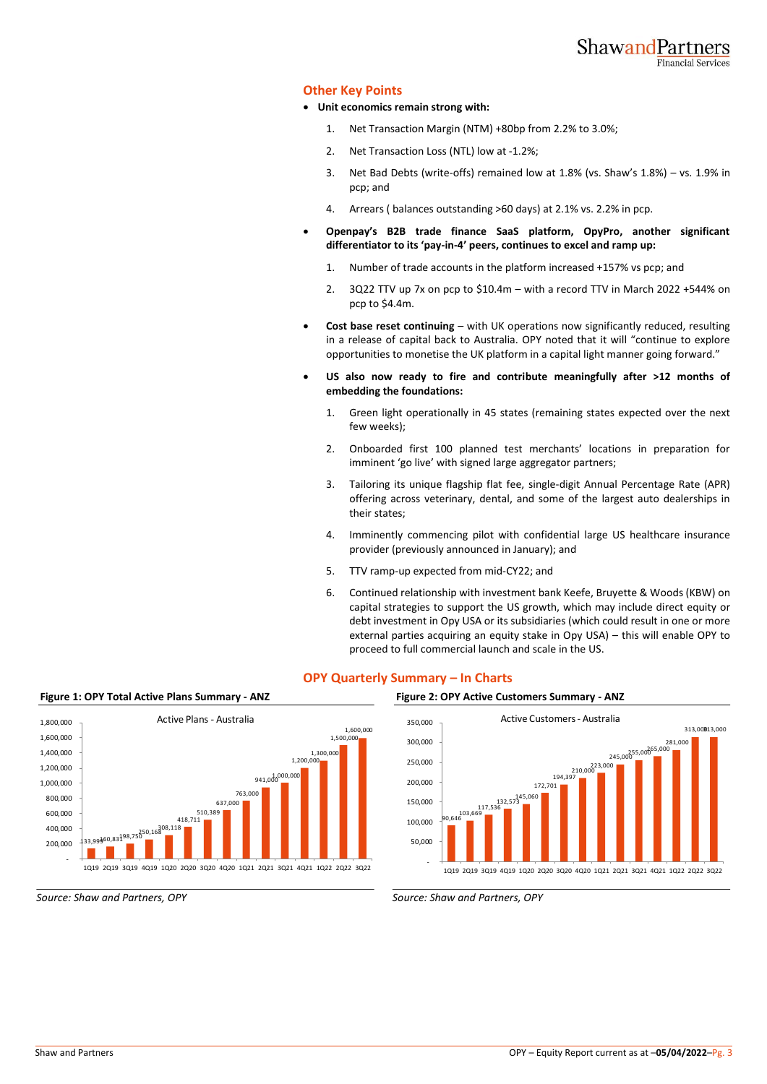## **Other Key Points**

- **Unit economics remain strong with:**
	- 1. Net Transaction Margin (NTM) +80bp from 2.2% to 3.0%;
	- 2. Net Transaction Loss (NTL) low at -1.2%;
	- 3. Net Bad Debts (write-offs) remained low at 1.8% (vs. Shaw's 1.8%) vs. 1.9% in pcp; and
	- 4. Arrears ( balances outstanding >60 days) at 2.1% vs. 2.2% in pcp.
- **Openpay's B2B trade finance SaaS platform, OpyPro, another significant differentiator to its 'pay-in-4' peers, continues to excel and ramp up:**
	- 1. Number of trade accounts in the platform increased +157% vs pcp; and
	- 2. 3Q22 TTV up 7x on pcp to \$10.4m with a record TTV in March 2022 +544% on pcp to \$4.4m.
- **Cost base reset continuing** with UK operations now significantly reduced, resulting in a release of capital back to Australia. OPY noted that it will "continue to explore opportunities to monetise the UK platform in a capital light manner going forward."
- **US also now ready to fire and contribute meaningfully after >12 months of embedding the foundations:**
	- 1. Green light operationally in 45 states (remaining states expected over the next few weeks);
	- 2. Onboarded first 100 planned test merchants' locations in preparation for imminent 'go live' with signed large aggregator partners;
	- 3. Tailoring its unique flagship flat fee, single-digit Annual Percentage Rate (APR) offering across veterinary, dental, and some of the largest auto dealerships in their states;
	- 4. Imminently commencing pilot with confidential large US healthcare insurance provider (previously announced in January); and
	- 5. TTV ramp-up expected from mid-CY22; and
	- 6. Continued relationship with investment bank Keefe, Bruyette & Woods (KBW) on capital strategies to support the US growth, which may include direct equity or debt investment in Opy USA or its subsidiaries (which could result in one or more external parties acquiring an equity stake in Opy USA) – this will enable OPY to proceed to full commercial launch and scale in the US.

172,701

Active Customers - Australia

223,000<br>194,397 - 210,000

281,000<br>245,000 265,000 245,000

313,000 313,000



## **OPY Quarterly Summary – In Charts**

 50,000 100,000 150,000 200,000 250,000 300,000 350,000

 $\begin{array}{r} \begin{array}{c} \text{132,573} \end{array} \ \text{133,669} \ \text{90,646} \end{array}$ 

*Source: Shaw and Partners, OPY Source: Shaw and Partners, OPY*

 <sup>-</sup> 1Q19 2Q19 3Q19 4Q19 1Q20 2Q20 3Q20 4Q20 1Q21 2Q21 3Q21 4Q21 1Q22 2Q22 3Q22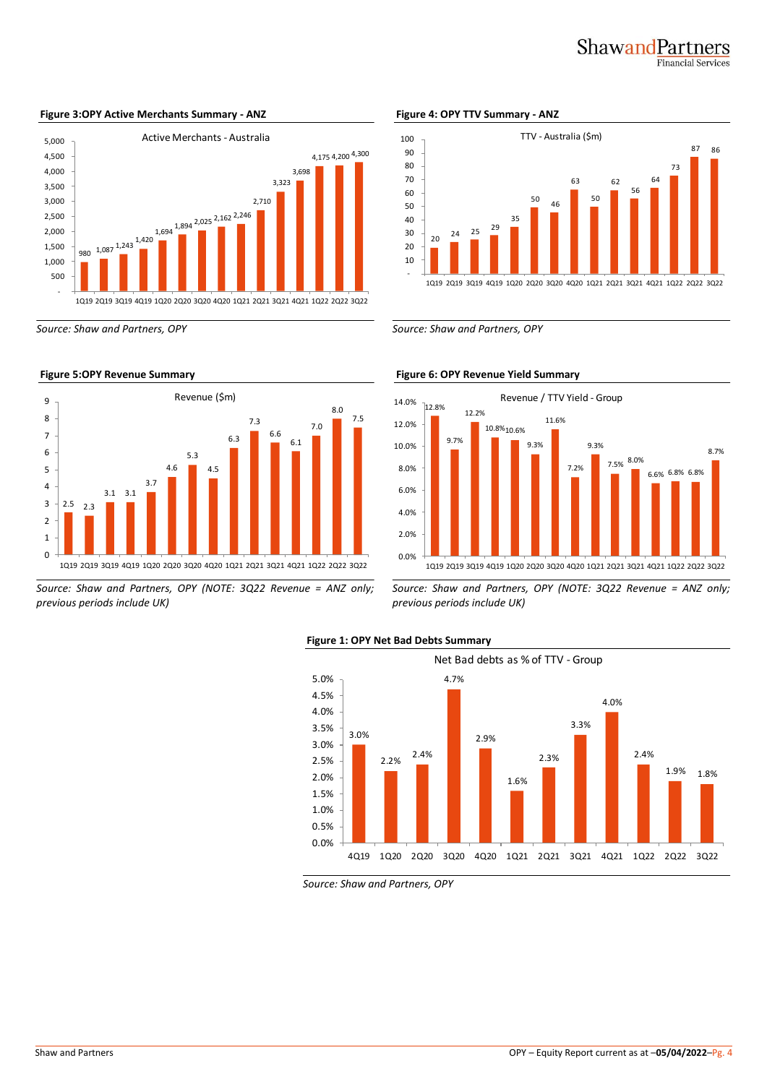## ShawandPartners **Financial Services**



#### **Figure 3:OPY Active Merchants Summary - ANZ Figure 4: OPY TTV Summary - ANZ**



*Source: Shaw and Partners, OPY (NOTE: 3Q22 Revenue = ANZ only; previous periods include UK)*



*Source: Shaw and Partners, OPY Source: Shaw and Partners, OPY*



*Source: Shaw and Partners, OPY (NOTE: 3Q22 Revenue = ANZ only; previous periods include UK)*





*Source: Shaw and Partners, OPY*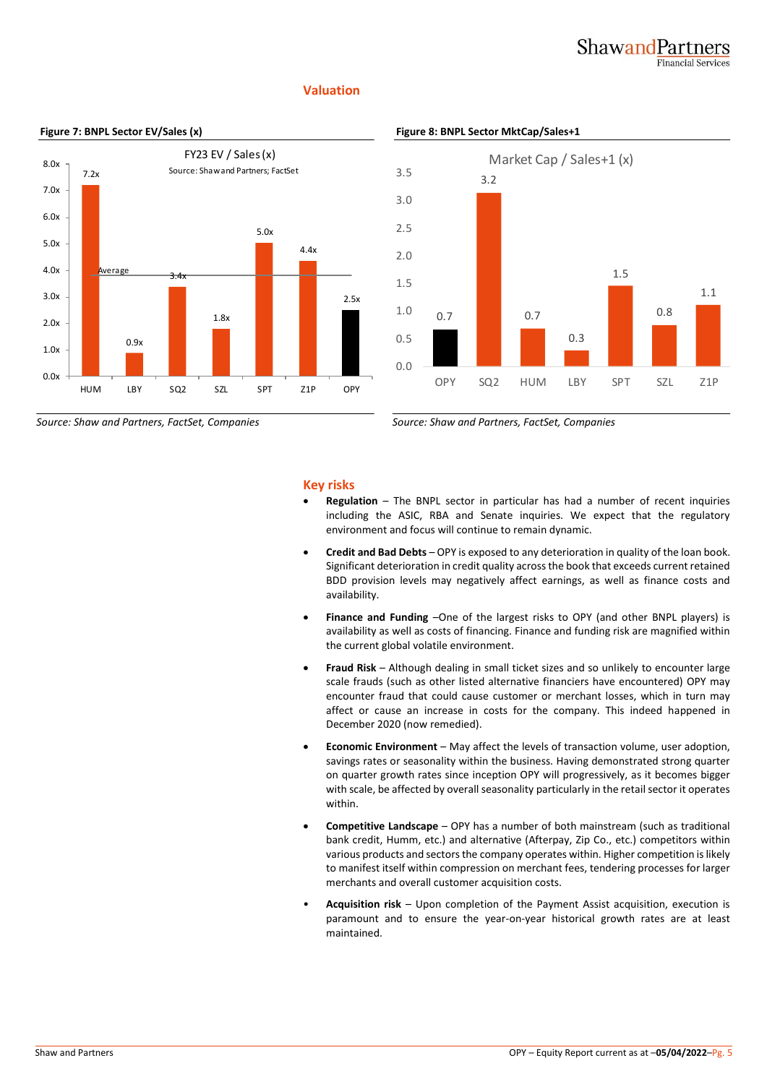## ShawandPartners Financial Services

## **Valuation**





*Source: Shaw and Partners, FactSet, Companies Source: Shaw and Partners, FactSet, Companies*



## **Key risks**

- **Regulation** The BNPL sector in particular has had a number of recent inquiries including the ASIC, RBA and Senate inquiries. We expect that the regulatory environment and focus will continue to remain dynamic.
- **Credit and Bad Debts** OPY is exposed to any deterioration in quality of the loan book. Significant deterioration in credit quality across the book that exceeds current retained BDD provision levels may negatively affect earnings, as well as finance costs and availability.
- **Finance and Funding** –One of the largest risks to OPY (and other BNPL players) is availability as well as costs of financing. Finance and funding risk are magnified within the current global volatile environment.
- **Fraud Risk** Although dealing in small ticket sizes and so unlikely to encounter large scale frauds (such as other listed alternative financiers have encountered) OPY may encounter fraud that could cause customer or merchant losses, which in turn may affect or cause an increase in costs for the company. This indeed happened in December 2020 (now remedied).
- **Economic Environment** May affect the levels of transaction volume, user adoption, savings rates or seasonality within the business. Having demonstrated strong quarter on quarter growth rates since inception OPY will progressively, as it becomes bigger with scale, be affected by overall seasonality particularly in the retail sector it operates within.
- **Competitive Landscape** OPY has a number of both mainstream (such as traditional bank credit, Humm, etc.) and alternative (Afterpay, Zip Co., etc.) competitors within various products and sectors the company operates within. Higher competition is likely to manifest itself within compression on merchant fees, tendering processes for larger merchants and overall customer acquisition costs.
- **Acquisition risk** Upon completion of the Payment Assist acquisition, execution is paramount and to ensure the year-on-year historical growth rates are at least maintained.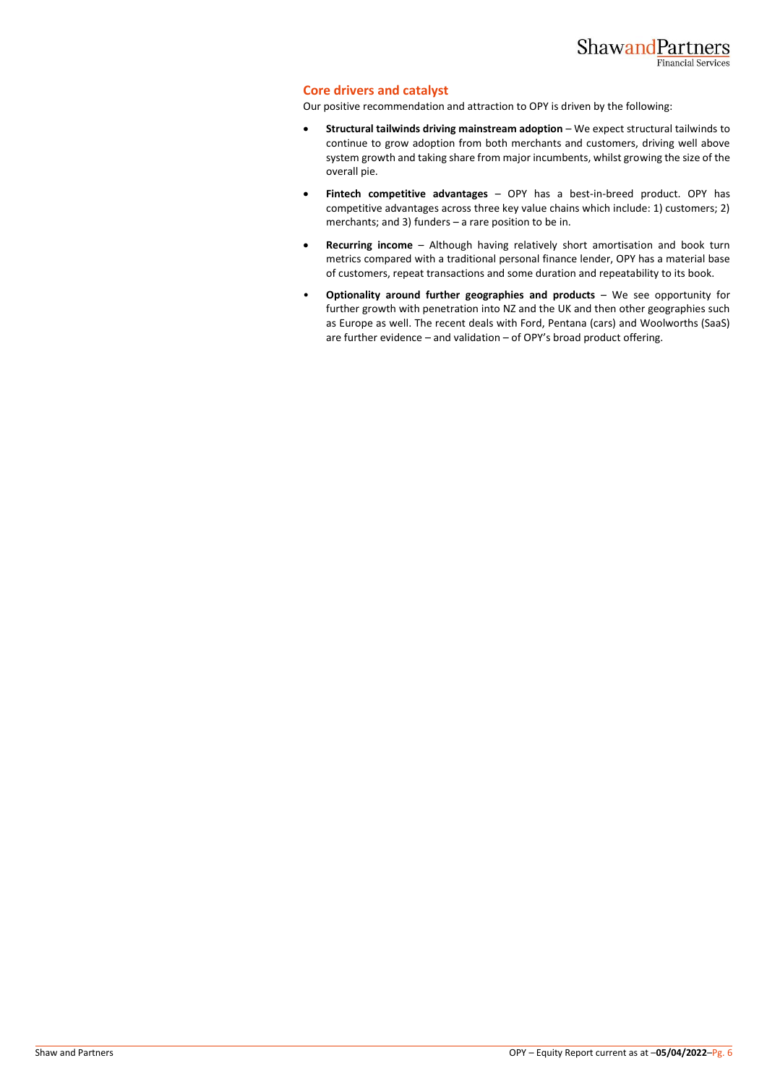#### **Core drivers and catalyst**

Our positive recommendation and attraction to OPY is driven by the following:

- **Structural tailwinds driving mainstream adoption** We expect structural tailwinds to continue to grow adoption from both merchants and customers, driving well above system growth and taking share from major incumbents, whilst growing the size of the overall pie.
- **Fintech competitive advantages** OPY has a best-in-breed product. OPY has competitive advantages across three key value chains which include: 1) customers; 2) merchants; and 3) funders – a rare position to be in.
- **Recurring income** Although having relatively short amortisation and book turn metrics compared with a traditional personal finance lender, OPY has a material base of customers, repeat transactions and some duration and repeatability to its book.
- **Optionality around further geographies and products** We see opportunity for further growth with penetration into NZ and the UK and then other geographies such as Europe as well. The recent deals with Ford, Pentana (cars) and Woolworths (SaaS) are further evidence – and validation – of OPY's broad product offering.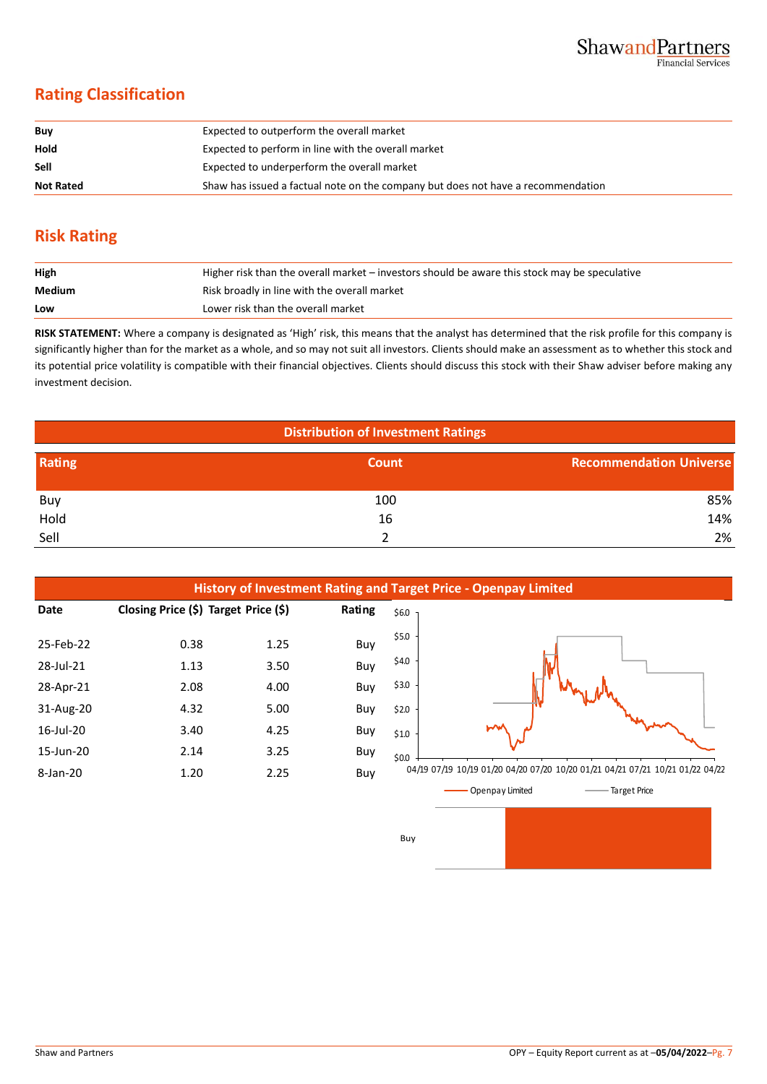## **Rating Classification**

| Buy              | Expected to outperform the overall market                                        |
|------------------|----------------------------------------------------------------------------------|
| Hold             | Expected to perform in line with the overall market                              |
| <b>Sell</b>      | Expected to underperform the overall market                                      |
| <b>Not Rated</b> | Shaw has issued a factual note on the company but does not have a recommendation |

## **Risk Rating**

| High   | Higher risk than the overall market – investors should be aware this stock may be speculative |
|--------|-----------------------------------------------------------------------------------------------|
| Medium | Risk broadly in line with the overall market                                                  |
| Low    | Lower risk than the overall market                                                            |

**RISK STATEMENT:** Where a company is designated as 'High' risk, this means that the analyst has determined that the risk profile for this company is significantly higher than for the market as a whole, and so may not suit all investors. Clients should make an assessment as to whether this stock and its potential price volatility is compatible with their financial objectives. Clients should discuss this stock with their Shaw adviser before making any investment decision.

| <b>Distribution of Investment Ratings</b> |       |                                |  |  |
|-------------------------------------------|-------|--------------------------------|--|--|
| Rating                                    | Count | <b>Recommendation Universe</b> |  |  |
| Buy                                       | 100   | 85%                            |  |  |
| Hold                                      | 16    | 14%                            |  |  |
| Sell                                      |       | 2%                             |  |  |

Buy